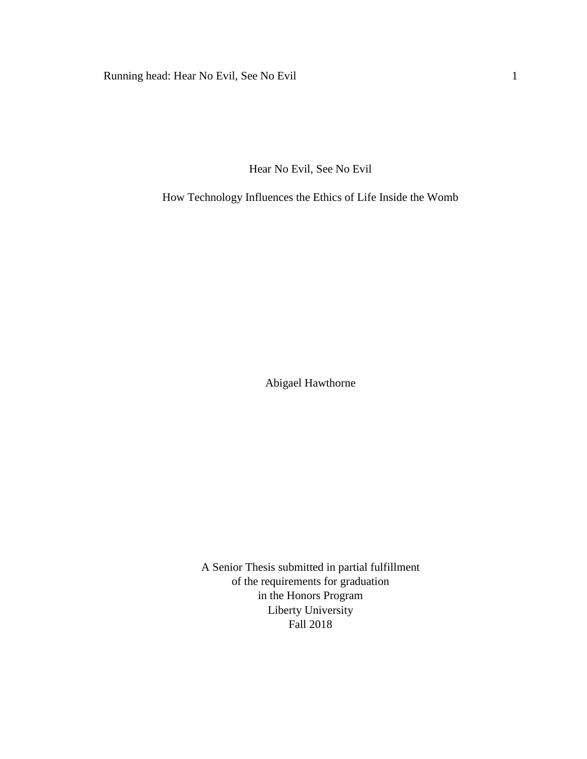Running head: Hear No Evil, See No Evil 1

Hear No Evil, See No Evil

How Technology Influences the Ethics of Life Inside the Womb

Abigael Hawthorne

A Senior Thesis submitted in partial fulfillment of the requirements for graduation in the Honors Program Liberty University Fall 2018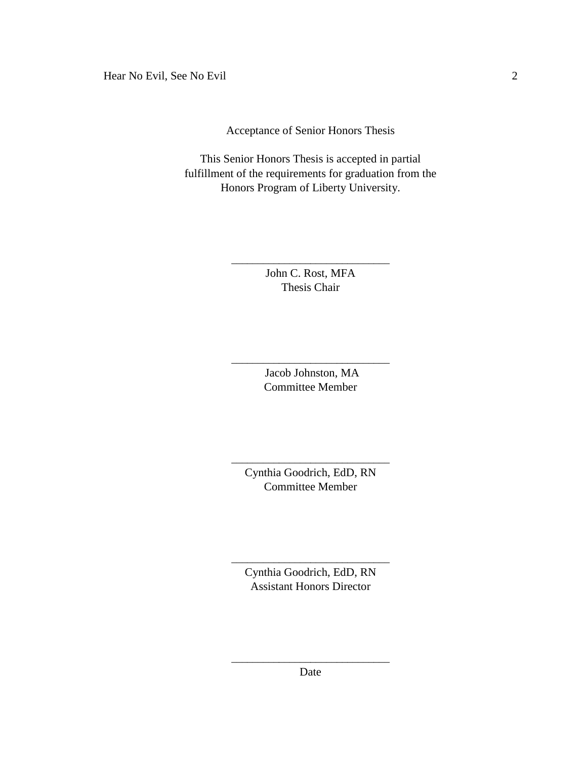Acceptance of Senior Honors Thesis

This Senior Honors Thesis is accepted in partial fulfillment of the requirements for graduation from the Honors Program of Liberty University.

> John C. Rost, MFA Thesis Chair

\_\_\_\_\_\_\_\_\_\_\_\_\_\_\_\_\_\_\_\_\_\_\_\_\_\_\_\_\_\_

Jacob Johnston, MA Committee Member

\_\_\_\_\_\_\_\_\_\_\_\_\_\_\_\_\_\_\_\_\_\_\_\_\_\_\_\_\_\_

Cynthia Goodrich, EdD, RN Committee Member

\_\_\_\_\_\_\_\_\_\_\_\_\_\_\_\_\_\_\_\_\_\_\_\_\_\_\_\_\_\_

Cynthia Goodrich, EdD, RN Assistant Honors Director

\_\_\_\_\_\_\_\_\_\_\_\_\_\_\_\_\_\_\_\_\_\_\_\_\_\_\_\_\_\_

\_\_\_\_\_\_\_\_\_\_\_\_\_\_\_\_\_\_\_\_\_\_\_\_\_\_\_\_\_\_ Date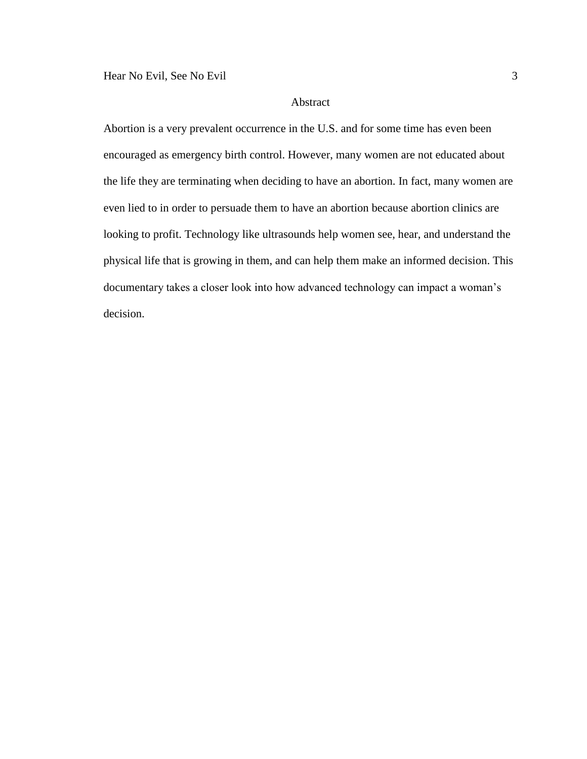# Abstract

Abortion is a very prevalent occurrence in the U.S. and for some time has even been encouraged as emergency birth control. However, many women are not educated about the life they are terminating when deciding to have an abortion. In fact, many women are even lied to in order to persuade them to have an abortion because abortion clinics are looking to profit. Technology like ultrasounds help women see, hear, and understand the physical life that is growing in them, and can help them make an informed decision. This documentary takes a closer look into how advanced technology can impact a woman's decision.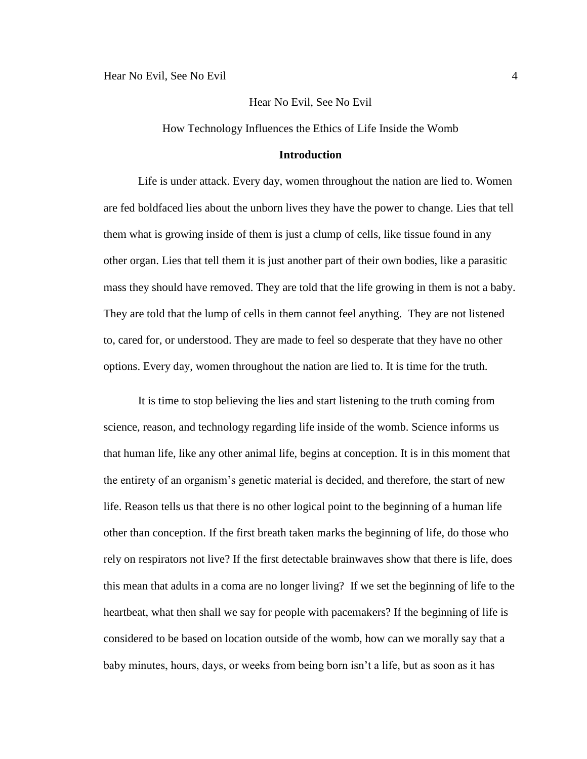How Technology Influences the Ethics of Life Inside the Womb

### **Introduction**

Life is under attack. Every day, women throughout the nation are lied to. Women are fed boldfaced lies about the unborn lives they have the power to change. Lies that tell them what is growing inside of them is just a clump of cells, like tissue found in any other organ. Lies that tell them it is just another part of their own bodies, like a parasitic mass they should have removed. They are told that the life growing in them is not a baby. They are told that the lump of cells in them cannot feel anything. They are not listened to, cared for, or understood. They are made to feel so desperate that they have no other options. Every day, women throughout the nation are lied to. It is time for the truth.

It is time to stop believing the lies and start listening to the truth coming from science, reason, and technology regarding life inside of the womb. Science informs us that human life, like any other animal life, begins at conception. It is in this moment that the entirety of an organism's genetic material is decided, and therefore, the start of new life. Reason tells us that there is no other logical point to the beginning of a human life other than conception. If the first breath taken marks the beginning of life, do those who rely on respirators not live? If the first detectable brainwaves show that there is life, does this mean that adults in a coma are no longer living? If we set the beginning of life to the heartbeat, what then shall we say for people with pacemakers? If the beginning of life is considered to be based on location outside of the womb, how can we morally say that a baby minutes, hours, days, or weeks from being born isn't a life, but as soon as it has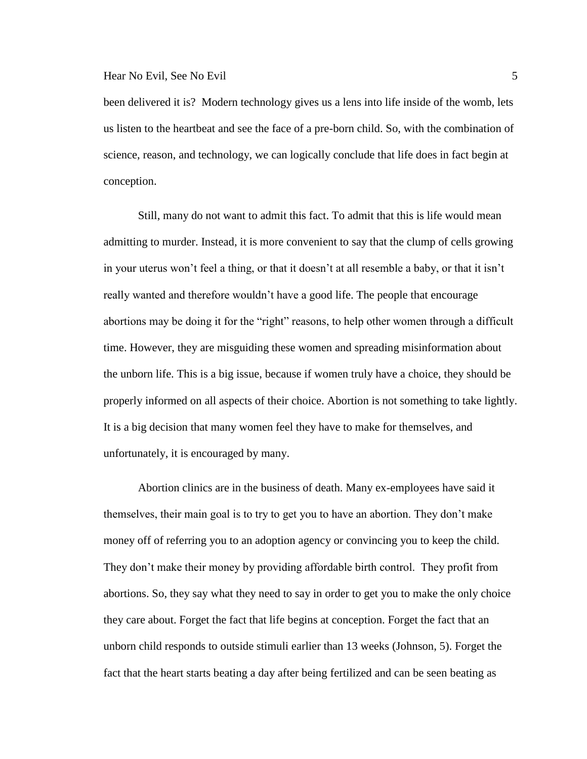been delivered it is? Modern technology gives us a lens into life inside of the womb, lets us listen to the heartbeat and see the face of a pre-born child. So, with the combination of science, reason, and technology, we can logically conclude that life does in fact begin at conception.

Still, many do not want to admit this fact. To admit that this is life would mean admitting to murder. Instead, it is more convenient to say that the clump of cells growing in your uterus won't feel a thing, or that it doesn't at all resemble a baby, or that it isn't really wanted and therefore wouldn't have a good life. The people that encourage abortions may be doing it for the "right" reasons, to help other women through a difficult time. However, they are misguiding these women and spreading misinformation about the unborn life. This is a big issue, because if women truly have a choice, they should be properly informed on all aspects of their choice. Abortion is not something to take lightly. It is a big decision that many women feel they have to make for themselves, and unfortunately, it is encouraged by many.

Abortion clinics are in the business of death. Many ex-employees have said it themselves, their main goal is to try to get you to have an abortion. They don't make money off of referring you to an adoption agency or convincing you to keep the child. They don't make their money by providing affordable birth control. They profit from abortions. So, they say what they need to say in order to get you to make the only choice they care about. Forget the fact that life begins at conception. Forget the fact that an unborn child responds to outside stimuli earlier than 13 weeks (Johnson, 5). Forget the fact that the heart starts beating a day after being fertilized and can be seen beating as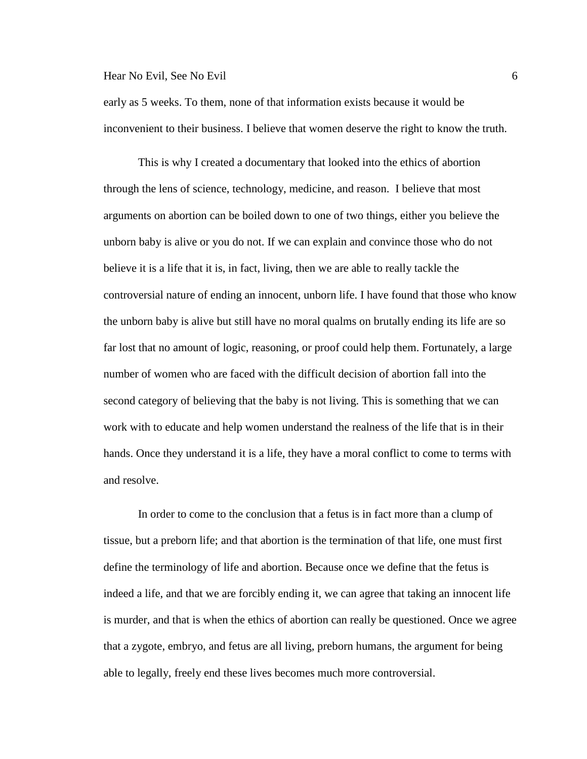early as 5 weeks. To them, none of that information exists because it would be inconvenient to their business. I believe that women deserve the right to know the truth.

This is why I created a documentary that looked into the ethics of abortion through the lens of science, technology, medicine, and reason. I believe that most arguments on abortion can be boiled down to one of two things, either you believe the unborn baby is alive or you do not. If we can explain and convince those who do not believe it is a life that it is, in fact, living, then we are able to really tackle the controversial nature of ending an innocent, unborn life. I have found that those who know the unborn baby is alive but still have no moral qualms on brutally ending its life are so far lost that no amount of logic, reasoning, or proof could help them. Fortunately, a large number of women who are faced with the difficult decision of abortion fall into the second category of believing that the baby is not living. This is something that we can work with to educate and help women understand the realness of the life that is in their hands. Once they understand it is a life, they have a moral conflict to come to terms with and resolve.

In order to come to the conclusion that a fetus is in fact more than a clump of tissue, but a preborn life; and that abortion is the termination of that life, one must first define the terminology of life and abortion. Because once we define that the fetus is indeed a life, and that we are forcibly ending it, we can agree that taking an innocent life is murder, and that is when the ethics of abortion can really be questioned. Once we agree that a zygote, embryo, and fetus are all living, preborn humans, the argument for being able to legally, freely end these lives becomes much more controversial.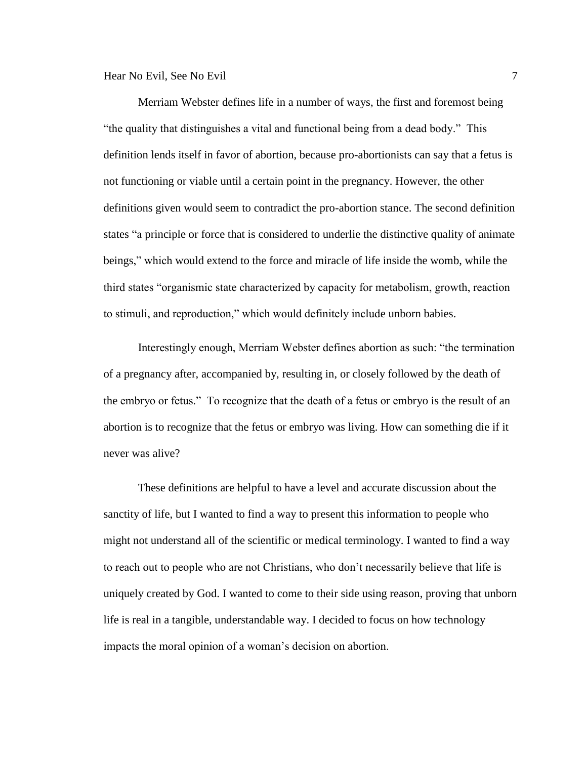Merriam Webster defines life in a number of ways, the first and foremost being "the quality that distinguishes a vital and functional being from a dead body." This definition lends itself in favor of abortion, because pro-abortionists can say that a fetus is not functioning or viable until a certain point in the pregnancy. However, the other definitions given would seem to contradict the pro-abortion stance. The second definition states "a principle or force that is considered to underlie the distinctive quality of animate beings," which would extend to the force and miracle of life inside the womb, while the third states "organismic state characterized by capacity for metabolism, growth, reaction to stimuli, and reproduction," which would definitely include unborn babies.

Interestingly enough, Merriam Webster defines abortion as such: "the termination of a pregnancy after, accompanied by, resulting in, or closely followed by the death of the embryo or fetus." To recognize that the death of a fetus or embryo is the result of an abortion is to recognize that the fetus or embryo was living. How can something die if it never was alive?

These definitions are helpful to have a level and accurate discussion about the sanctity of life, but I wanted to find a way to present this information to people who might not understand all of the scientific or medical terminology. I wanted to find a way to reach out to people who are not Christians, who don't necessarily believe that life is uniquely created by God. I wanted to come to their side using reason, proving that unborn life is real in a tangible, understandable way. I decided to focus on how technology impacts the moral opinion of a woman's decision on abortion.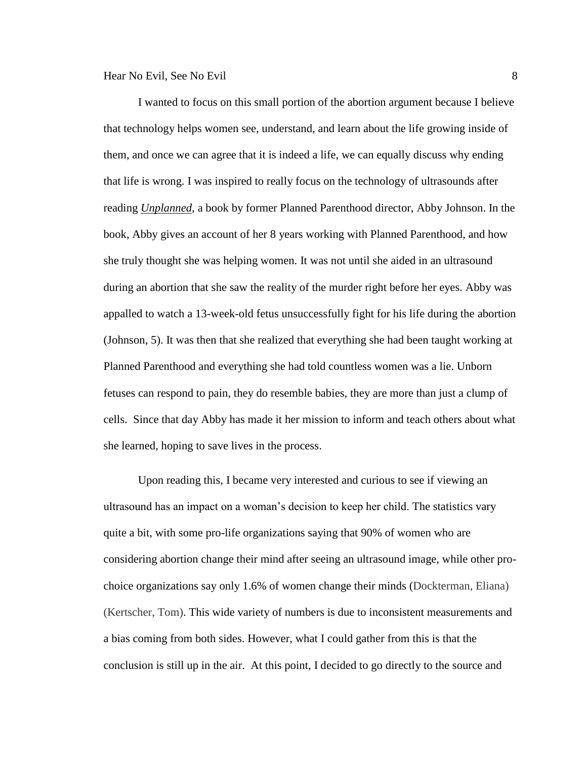I wanted to focus on this small portion of the abortion argument because I believe that technology helps women see, understand, and learn about the life growing inside of them, and once we can agree that it is indeed a life, we can equally discuss why ending that life is wrong. I was inspired to really focus on the technology of ultrasounds after reading *Unplanned*, a book by former Planned Parenthood director, Abby Johnson. In the book, Abby gives an account of her 8 years working with Planned Parenthood, and how she truly thought she was helping women. It was not until she aided in an ultrasound during an abortion that she saw the reality of the murder right before her eyes. Abby was appalled to watch a 13-week-old fetus unsuccessfully fight for his life during the abortion (Johnson, 5). It was then that she realized that everything she had been taught working at Planned Parenthood and everything she had told countless women was a lie. Unborn fetuses can respond to pain, they do resemble babies, they are more than just a clump of cells. Since that day Abby has made it her mission to inform and teach others about what she learned, hoping to save lives in the process.

Upon reading this, I became very interested and curious to see if viewing an ultrasound has an impact on a woman's decision to keep her child. The statistics vary quite a bit, with some pro-life organizations saying that 90% of women who are considering abortion change their mind after seeing an ultrasound image, while other prochoice organizations say only 1.6% of women change their minds (Dockterman, Eliana) (Kertscher, Tom). This wide variety of numbers is due to inconsistent measurements and a bias coming from both sides. However, what I could gather from this is that the conclusion is still up in the air. At this point, I decided to go directly to the source and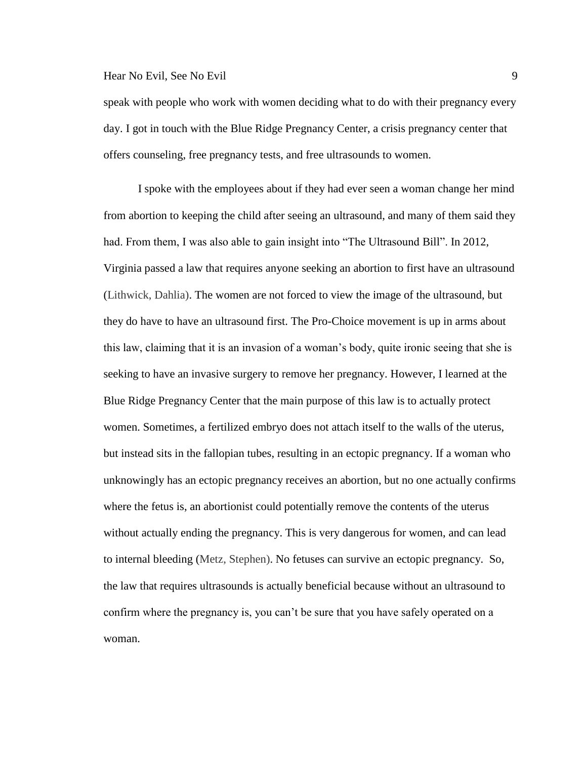speak with people who work with women deciding what to do with their pregnancy every day. I got in touch with the Blue Ridge Pregnancy Center, a crisis pregnancy center that offers counseling, free pregnancy tests, and free ultrasounds to women.

I spoke with the employees about if they had ever seen a woman change her mind from abortion to keeping the child after seeing an ultrasound, and many of them said they had. From them, I was also able to gain insight into "The Ultrasound Bill". In 2012, Virginia passed a law that requires anyone seeking an abortion to first have an ultrasound (Lithwick, Dahlia). The women are not forced to view the image of the ultrasound, but they do have to have an ultrasound first. The Pro-Choice movement is up in arms about this law, claiming that it is an invasion of a woman's body, quite ironic seeing that she is seeking to have an invasive surgery to remove her pregnancy. However, I learned at the Blue Ridge Pregnancy Center that the main purpose of this law is to actually protect women. Sometimes, a fertilized embryo does not attach itself to the walls of the uterus, but instead sits in the fallopian tubes, resulting in an ectopic pregnancy. If a woman who unknowingly has an ectopic pregnancy receives an abortion, but no one actually confirms where the fetus is, an abortionist could potentially remove the contents of the uterus without actually ending the pregnancy. This is very dangerous for women, and can lead to internal bleeding (Metz, Stephen). No fetuses can survive an ectopic pregnancy. So, the law that requires ultrasounds is actually beneficial because without an ultrasound to confirm where the pregnancy is, you can't be sure that you have safely operated on a woman.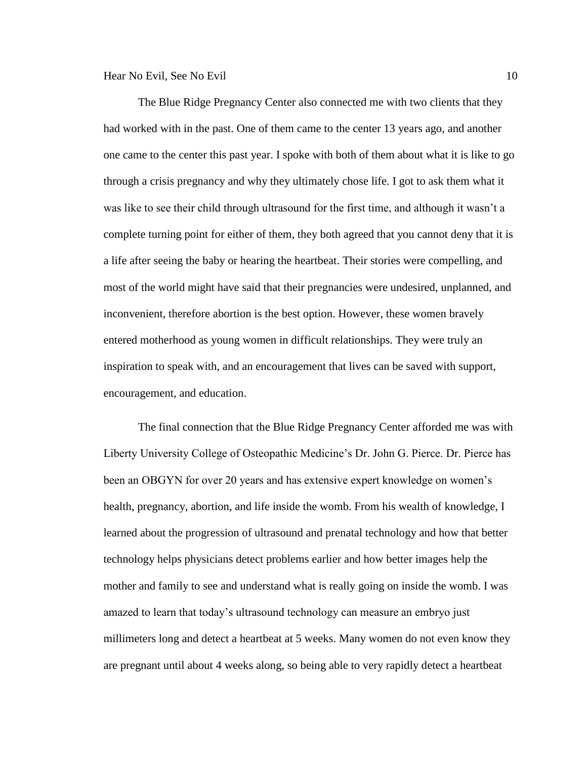The Blue Ridge Pregnancy Center also connected me with two clients that they had worked with in the past. One of them came to the center 13 years ago, and another one came to the center this past year. I spoke with both of them about what it is like to go through a crisis pregnancy and why they ultimately chose life. I got to ask them what it was like to see their child through ultrasound for the first time, and although it wasn't a complete turning point for either of them, they both agreed that you cannot deny that it is a life after seeing the baby or hearing the heartbeat. Their stories were compelling, and most of the world might have said that their pregnancies were undesired, unplanned, and inconvenient, therefore abortion is the best option. However, these women bravely entered motherhood as young women in difficult relationships. They were truly an inspiration to speak with, and an encouragement that lives can be saved with support, encouragement, and education.

The final connection that the Blue Ridge Pregnancy Center afforded me was with Liberty University College of Osteopathic Medicine's Dr. John G. Pierce. Dr. Pierce has been an OBGYN for over 20 years and has extensive expert knowledge on women's health, pregnancy, abortion, and life inside the womb. From his wealth of knowledge, I learned about the progression of ultrasound and prenatal technology and how that better technology helps physicians detect problems earlier and how better images help the mother and family to see and understand what is really going on inside the womb. I was amazed to learn that today's ultrasound technology can measure an embryo just millimeters long and detect a heartbeat at 5 weeks. Many women do not even know they are pregnant until about 4 weeks along, so being able to very rapidly detect a heartbeat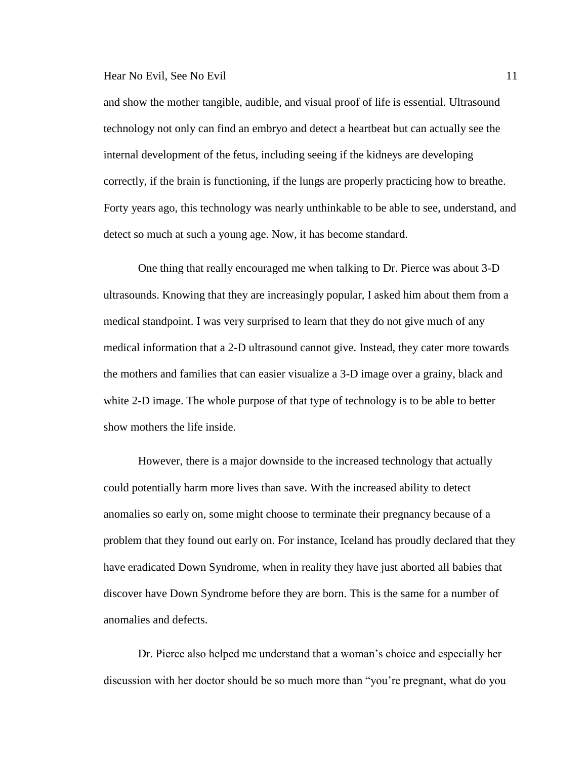and show the mother tangible, audible, and visual proof of life is essential. Ultrasound technology not only can find an embryo and detect a heartbeat but can actually see the internal development of the fetus, including seeing if the kidneys are developing correctly, if the brain is functioning, if the lungs are properly practicing how to breathe. Forty years ago, this technology was nearly unthinkable to be able to see, understand, and detect so much at such a young age. Now, it has become standard.

One thing that really encouraged me when talking to Dr. Pierce was about 3-D ultrasounds. Knowing that they are increasingly popular, I asked him about them from a medical standpoint. I was very surprised to learn that they do not give much of any medical information that a 2-D ultrasound cannot give. Instead, they cater more towards the mothers and families that can easier visualize a 3-D image over a grainy, black and white 2-D image. The whole purpose of that type of technology is to be able to better show mothers the life inside.

However, there is a major downside to the increased technology that actually could potentially harm more lives than save. With the increased ability to detect anomalies so early on, some might choose to terminate their pregnancy because of a problem that they found out early on. For instance, Iceland has proudly declared that they have eradicated Down Syndrome, when in reality they have just aborted all babies that discover have Down Syndrome before they are born. This is the same for a number of anomalies and defects.

Dr. Pierce also helped me understand that a woman's choice and especially her discussion with her doctor should be so much more than "you're pregnant, what do you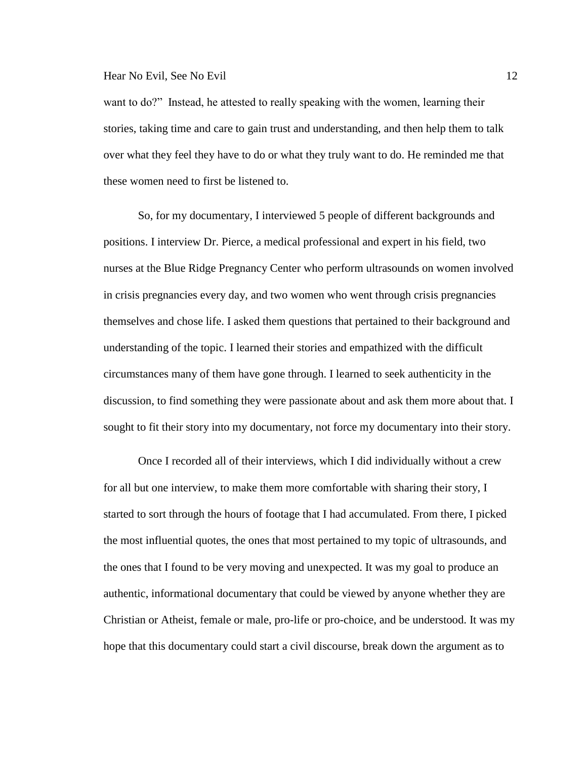want to do?" Instead, he attested to really speaking with the women, learning their stories, taking time and care to gain trust and understanding, and then help them to talk over what they feel they have to do or what they truly want to do. He reminded me that these women need to first be listened to.

So, for my documentary, I interviewed 5 people of different backgrounds and positions. I interview Dr. Pierce, a medical professional and expert in his field, two nurses at the Blue Ridge Pregnancy Center who perform ultrasounds on women involved in crisis pregnancies every day, and two women who went through crisis pregnancies themselves and chose life. I asked them questions that pertained to their background and understanding of the topic. I learned their stories and empathized with the difficult circumstances many of them have gone through. I learned to seek authenticity in the discussion, to find something they were passionate about and ask them more about that. I sought to fit their story into my documentary, not force my documentary into their story.

Once I recorded all of their interviews, which I did individually without a crew for all but one interview, to make them more comfortable with sharing their story, I started to sort through the hours of footage that I had accumulated. From there, I picked the most influential quotes, the ones that most pertained to my topic of ultrasounds, and the ones that I found to be very moving and unexpected. It was my goal to produce an authentic, informational documentary that could be viewed by anyone whether they are Christian or Atheist, female or male, pro-life or pro-choice, and be understood. It was my hope that this documentary could start a civil discourse, break down the argument as to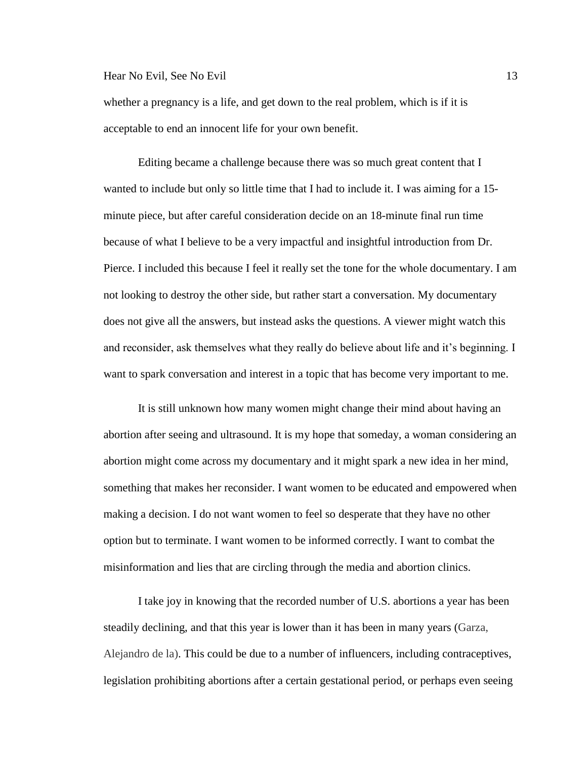whether a pregnancy is a life, and get down to the real problem, which is if it is acceptable to end an innocent life for your own benefit.

Editing became a challenge because there was so much great content that I wanted to include but only so little time that I had to include it. I was aiming for a 15 minute piece, but after careful consideration decide on an 18-minute final run time because of what I believe to be a very impactful and insightful introduction from Dr. Pierce. I included this because I feel it really set the tone for the whole documentary. I am not looking to destroy the other side, but rather start a conversation. My documentary does not give all the answers, but instead asks the questions. A viewer might watch this and reconsider, ask themselves what they really do believe about life and it's beginning. I want to spark conversation and interest in a topic that has become very important to me.

It is still unknown how many women might change their mind about having an abortion after seeing and ultrasound. It is my hope that someday, a woman considering an abortion might come across my documentary and it might spark a new idea in her mind, something that makes her reconsider. I want women to be educated and empowered when making a decision. I do not want women to feel so desperate that they have no other option but to terminate. I want women to be informed correctly. I want to combat the misinformation and lies that are circling through the media and abortion clinics.

I take joy in knowing that the recorded number of U.S. abortions a year has been steadily declining, and that this year is lower than it has been in many years (Garza, Alejandro de la). This could be due to a number of influencers, including contraceptives, legislation prohibiting abortions after a certain gestational period, or perhaps even seeing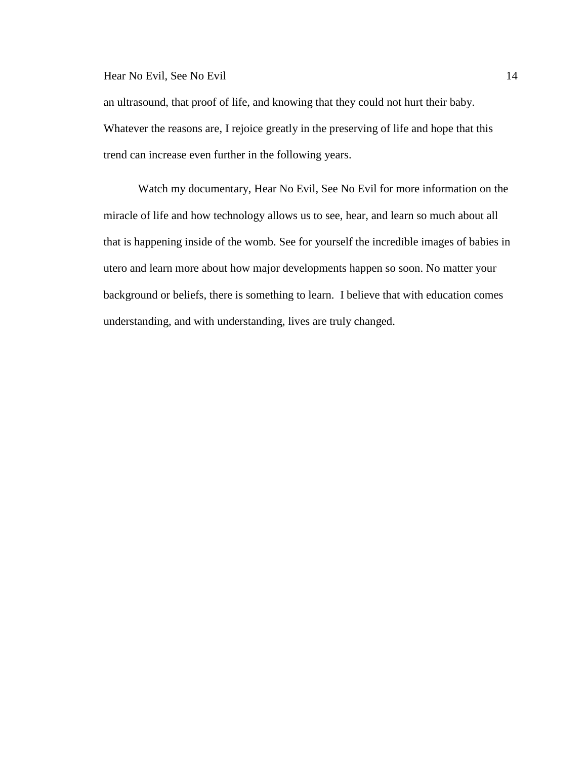an ultrasound, that proof of life, and knowing that they could not hurt their baby. Whatever the reasons are, I rejoice greatly in the preserving of life and hope that this trend can increase even further in the following years.

Watch my documentary, Hear No Evil, See No Evil for more information on the miracle of life and how technology allows us to see, hear, and learn so much about all that is happening inside of the womb. See for yourself the incredible images of babies in utero and learn more about how major developments happen so soon. No matter your background or beliefs, there is something to learn. I believe that with education comes understanding, and with understanding, lives are truly changed.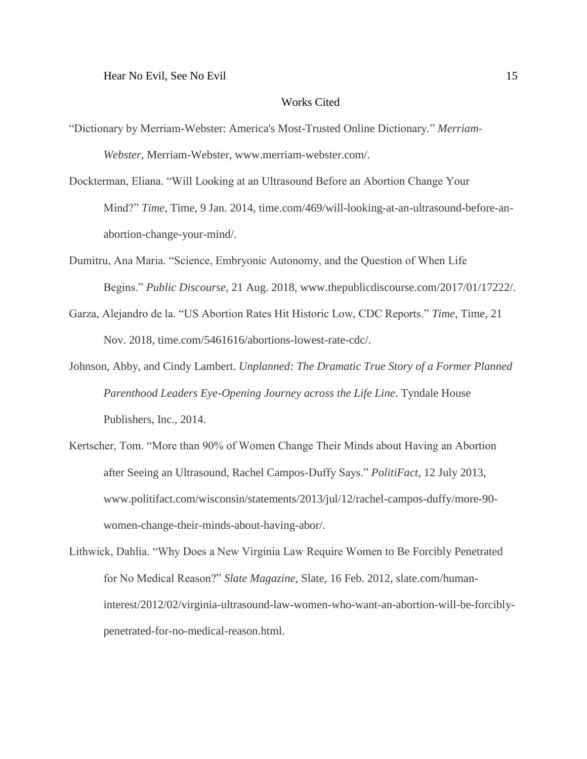#### Works Cited

- "Dictionary by Merriam-Webster: America's Most-Trusted Online Dictionary." *Merriam-Webster*, Merriam-Webster, www.merriam-webster.com/.
- Dockterman, Eliana. "Will Looking at an Ultrasound Before an Abortion Change Your Mind?" *Time*, Time, 9 Jan. 2014, time.com/469/will-looking-at-an-ultrasound-before-anabortion-change-your-mind/.
- Dumitru, Ana Maria. "Science, Embryonic Autonomy, and the Question of When Life Begins." *Public Discourse*, 21 Aug. 2018, www.thepublicdiscourse.com/2017/01/17222/.
- Garza, Alejandro de la. "US Abortion Rates Hit Historic Low, CDC Reports." *Time*, Time, 21 Nov. 2018, time.com/5461616/abortions-lowest-rate-cdc/.
- Johnson, Abby, and Cindy Lambert. *Unplanned: The Dramatic True Story of a Former Planned Parenthood Leaders Eye-Opening Journey across the Life Line*. Tyndale House Publishers, Inc., 2014.
- Kertscher, Tom. "More than 90% of Women Change Their Minds about Having an Abortion after Seeing an Ultrasound, Rachel Campos-Duffy Says." *PolitiFact*, 12 July 2013, www.politifact.com/wisconsin/statements/2013/jul/12/rachel-campos-duffy/more-90 women-change-their-minds-about-having-abor/.
- Lithwick, Dahlia. "Why Does a New Virginia Law Require Women to Be Forcibly Penetrated for No Medical Reason?" *Slate Magazine*, Slate, 16 Feb. 2012, slate.com/humaninterest/2012/02/virginia-ultrasound-law-women-who-want-an-abortion-will-be-forciblypenetrated-for-no-medical-reason.html.